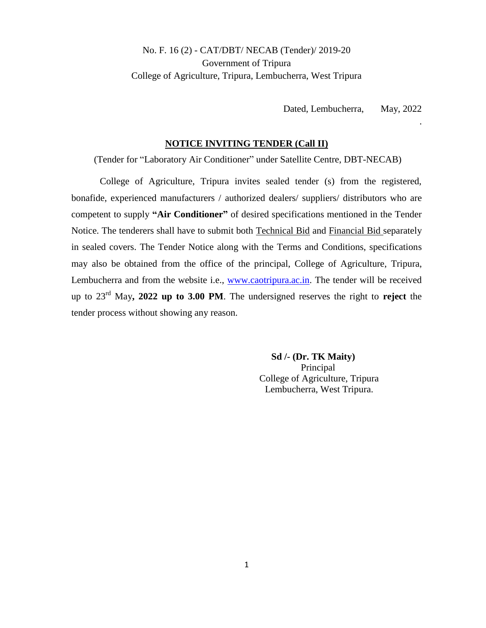### No. F. 16 (2) - CAT/DBT/ NECAB (Tender)/ 2019-20 Government of Tripura College of Agriculture, Tripura, Lembucherra, West Tripura

Dated, Lembucherra, May, 2022

.

#### **NOTICE INVITING TENDER (Call II)**

(Tender for "Laboratory Air Conditioner" under Satellite Centre, DBT-NECAB)

College of Agriculture, Tripura invites sealed tender (s) from the registered, bonafide, experienced manufacturers / authorized dealers/ suppliers/ distributors who are competent to supply **"Air Conditioner"** of desired specifications mentioned in the Tender Notice. The tenderers shall have to submit both Technical Bid and Financial Bid separately in sealed covers. The Tender Notice along with the Terms and Conditions, specifications may also be obtained from the office of the principal, College of Agriculture, Tripura, Lembucherra and from the website i.e., [www.caotripura.ac.in.](http://www.caotripura.ac.in/) The tender will be received up to 23rd May**, 2022 up to 3.00 PM**. The undersigned reserves the right to **reject** the tender process without showing any reason.

> **Sd /- (Dr. TK Maity)** Principal College of Agriculture, Tripura Lembucherra, West Tripura.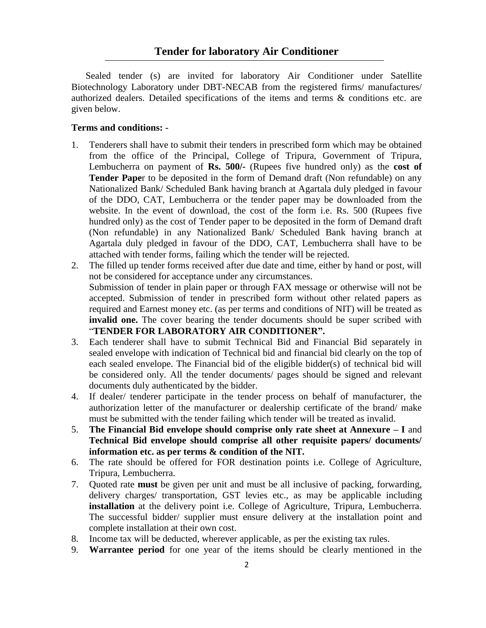Sealed tender (s) are invited for laboratory Air Conditioner under Satellite Biotechnology Laboratory under DBT-NECAB from the registered firms/ manufactures/ authorized dealers. Detailed specifications of the items and terms & conditions etc. are given below.

#### **Terms and conditions: -**

- 1. Tenderers shall have to submit their tenders in prescribed form which may be obtained from the office of the Principal, College of Tripura, Government of Tripura, Lembucherra on payment of **Rs. 500/-** (Rupees five hundred only) as the **cost of Tender Pape**r to be deposited in the form of Demand draft (Non refundable) on any Nationalized Bank/ Scheduled Bank having branch at Agartala duly pledged in favour of the DDO, CAT, Lembucherra or the tender paper may be downloaded from the website. In the event of download, the cost of the form i.e. Rs. 500 (Rupees five hundred only) as the cost of Tender paper to be deposited in the form of Demand draft (Non refundable) in any Nationalized Bank/ Scheduled Bank having branch at Agartala duly pledged in favour of the DDO, CAT, Lembucherra shall have to be attached with tender forms, failing which the tender will be rejected.
- 2. The filled up tender forms received after due date and time, either by hand or post, will not be considered for acceptance under any circumstances. Submission of tender in plain paper or through FAX message or otherwise will not be accepted. Submission of tender in prescribed form without other related papers as required and Earnest money etc. (as per terms and conditions of NIT) will be treated as **invalid one.** The cover bearing the tender documents should be super scribed with "**TENDER FOR LABORATORY AIR CONDITIONER".**
- 3. Each tenderer shall have to submit Technical Bid and Financial Bid separately in sealed envelope with indication of Technical bid and financial bid clearly on the top of each sealed envelope. The Financial bid of the eligible bidder(s) of technical bid will be considered only. All the tender documents/ pages should be signed and relevant documents duly authenticated by the bidder.
- 4. If dealer/ tenderer participate in the tender process on behalf of manufacturer, the authorization letter of the manufacturer or dealership certificate of the brand/ make must be submitted with the tender failing which tender will be treated as invalid.
- 5. **The Financial Bid envelope should comprise only rate sheet at Annexure – I** and **Technical Bid envelope should comprise all other requisite papers/ documents/ information etc. as per terms & condition of the NIT.**
- 6. The rate should be offered for FOR destination points i.e. College of Agriculture, Tripura, Lembucherra.
- 7. Quoted rate **must** be given per unit and must be all inclusive of packing, forwarding, delivery charges/ transportation, GST levies etc., as may be applicable including **installation** at the delivery point i.e. College of Agriculture, Tripura, Lembucherra. The successful bidder/ supplier must ensure delivery at the installation point and complete installation at their own cost.
- 8. Income tax will be deducted, wherever applicable, as per the existing tax rules.
- 9. **Warrantee period** for one year of the items should be clearly mentioned in the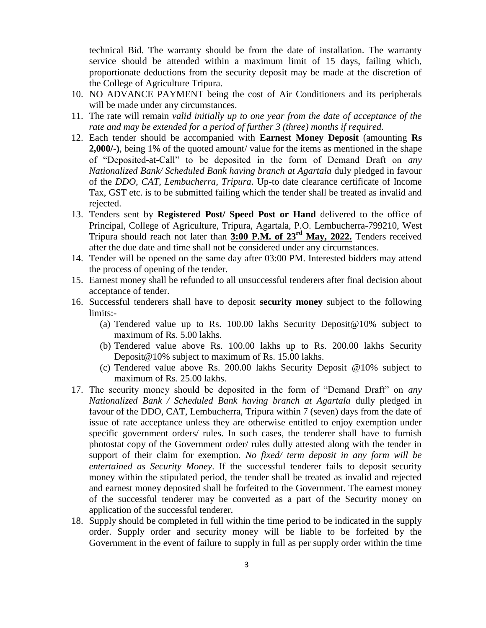technical Bid. The warranty should be from the date of installation. The warranty service should be attended within a maximum limit of 15 days, failing which, proportionate deductions from the security deposit may be made at the discretion of the College of Agriculture Tripura.

- 10. NO ADVANCE PAYMENT being the cost of Air Conditioners and its peripherals will be made under any circumstances.
- 11. The rate will remain *valid initially up to one year from the date of acceptance of the rate and may be extended for a period of further 3 (three) months if required.*
- 12. Each tender should be accompanied with **Earnest Money Deposit** (amounting **Rs 2,000/-)**, being 1% of the quoted amount/ value for the items as mentioned in the shape of "Deposited-at-Call" to be deposited in the form of Demand Draft on *any Nationalized Bank/ Scheduled Bank having branch at Agartala* duly pledged in favour of the *DDO, CAT, Lembucherra, Tripura*. Up-to date clearance certificate of Income Tax, GST etc. is to be submitted failing which the tender shall be treated as invalid and rejected.
- 13. Tenders sent by **Registered Post/ Speed Post or Hand** delivered to the office of Principal, College of Agriculture, Tripura, Agartala, P.O. Lembucherra-799210, West Tripura should reach not later than **3:00 P.M. of 23rd May, 2022.** Tenders received after the due date and time shall not be considered under any circumstances.
- 14. Tender will be opened on the same day after 03:00 PM. Interested bidders may attend the process of opening of the tender.
- 15. Earnest money shall be refunded to all unsuccessful tenderers after final decision about acceptance of tender.
- 16. Successful tenderers shall have to deposit **security money** subject to the following limits:-
	- (a) Tendered value up to Rs. 100.00 lakhs Security Deposit@10% subject to maximum of Rs. 5.00 lakhs.
	- (b) Tendered value above Rs. 100.00 lakhs up to Rs. 200.00 lakhs Security Deposit@10% subject to maximum of Rs. 15.00 lakhs.
	- (c) Tendered value above Rs. 200.00 lakhs Security Deposit @10% subject to maximum of Rs. 25.00 lakhs.
- 17. The security money should be deposited in the form of "Demand Draft" on *any Nationalized Bank / Scheduled Bank having branch at Agartala* dully pledged in favour of the DDO, CAT, Lembucherra, Tripura within 7 (seven) days from the date of issue of rate acceptance unless they are otherwise entitled to enjoy exemption under specific government orders/ rules. In such cases, the tenderer shall have to furnish photostat copy of the Government order/ rules dully attested along with the tender in support of their claim for exemption. *No fixed/ term deposit in any form will be entertained as Security Money*. If the successful tenderer fails to deposit security money within the stipulated period, the tender shall be treated as invalid and rejected and earnest money deposited shall be forfeited to the Government. The earnest money of the successful tenderer may be converted as a part of the Security money on application of the successful tenderer.
- 18. Supply should be completed in full within the time period to be indicated in the supply order. Supply order and security money will be liable to be forfeited by the Government in the event of failure to supply in full as per supply order within the time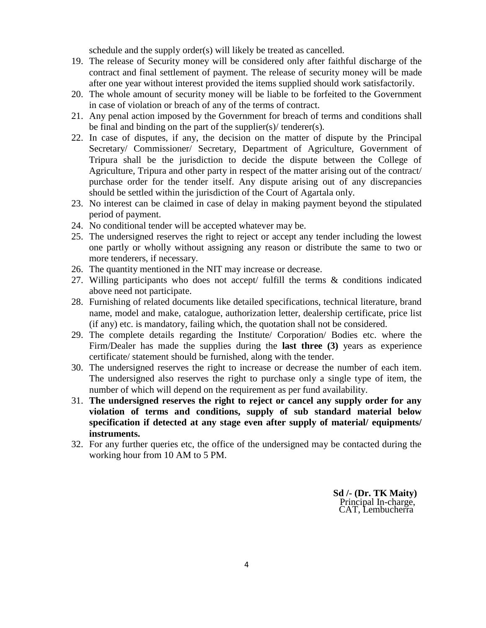schedule and the supply order(s) will likely be treated as cancelled.

- 19. The release of Security money will be considered only after faithful discharge of the contract and final settlement of payment. The release of security money will be made after one year without interest provided the items supplied should work satisfactorily.
- 20. The whole amount of security money will be liable to be forfeited to the Government in case of violation or breach of any of the terms of contract.
- 21. Any penal action imposed by the Government for breach of terms and conditions shall be final and binding on the part of the supplier(s)/ tenderer(s).
- 22. In case of disputes, if any, the decision on the matter of dispute by the Principal Secretary/ Commissioner/ Secretary, Department of Agriculture, Government of Tripura shall be the jurisdiction to decide the dispute between the College of Agriculture, Tripura and other party in respect of the matter arising out of the contract/ purchase order for the tender itself. Any dispute arising out of any discrepancies should be settled within the jurisdiction of the Court of Agartala only.
- 23. No interest can be claimed in case of delay in making payment beyond the stipulated period of payment.
- 24. No conditional tender will be accepted whatever may be.
- 25. The undersigned reserves the right to reject or accept any tender including the lowest one partly or wholly without assigning any reason or distribute the same to two or more tenderers, if necessary.
- 26. The quantity mentioned in the NIT may increase or decrease.
- 27. Willing participants who does not accept/ fulfill the terms & conditions indicated above need not participate.
- 28. Furnishing of related documents like detailed specifications, technical literature, brand name, model and make, catalogue, authorization letter, dealership certificate, price list (if any) etc. is mandatory, failing which, the quotation shall not be considered.
- 29. The complete details regarding the Institute/ Corporation/ Bodies etc. where the Firm/Dealer has made the supplies during the **last three (3)** years as experience certificate/ statement should be furnished, along with the tender.
- 30. The undersigned reserves the right to increase or decrease the number of each item. The undersigned also reserves the right to purchase only a single type of item, the number of which will depend on the requirement as per fund availability.
- 31. **The undersigned reserves the right to reject or cancel any supply order for any violation of terms and conditions, supply of sub standard material below specification if detected at any stage even after supply of material/ equipments/ instruments.**
- 32. For any further queries etc, the office of the undersigned may be contacted during the working hour from 10 AM to 5 PM.

 **Sd /- (Dr. TK Maity)** Principal In-charge, CAT, Lembucherra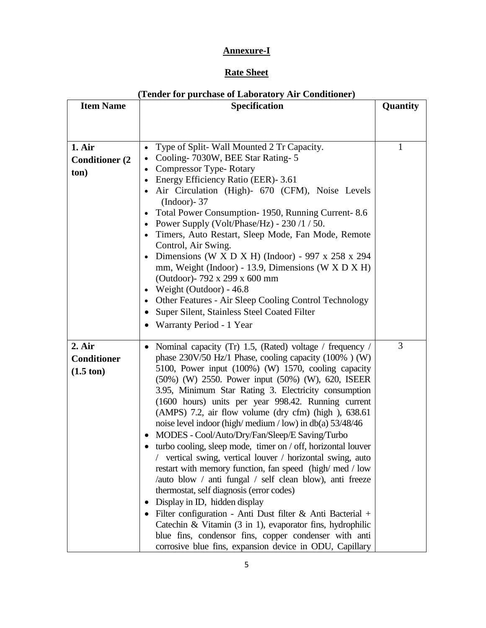## **Annexure-I**

# **Rate Sheet**

| (Tender for purchase of Laboratory Air Conditioner) |                                                                                                               |          |  |  |  |  |  |
|-----------------------------------------------------|---------------------------------------------------------------------------------------------------------------|----------|--|--|--|--|--|
| <b>Item Name</b>                                    | <b>Specification</b>                                                                                          | Quantity |  |  |  |  |  |
|                                                     |                                                                                                               |          |  |  |  |  |  |
| 1. Air                                              | Type of Split-Wall Mounted 2 Tr Capacity.<br>$\bullet$                                                        | 1        |  |  |  |  |  |
| <b>Conditioner (2)</b>                              | Cooling-7030W, BEE Star Rating-5<br>$\bullet$                                                                 |          |  |  |  |  |  |
| ton)                                                | Compressor Type-Rotary<br>$\bullet$                                                                           |          |  |  |  |  |  |
|                                                     | Energy Efficiency Ratio (EER) - 3.61<br>$\bullet$                                                             |          |  |  |  |  |  |
|                                                     | Air Circulation (High)- 670 (CFM), Noise Levels                                                               |          |  |  |  |  |  |
|                                                     | $(Indoor)$ - 37                                                                                               |          |  |  |  |  |  |
|                                                     | Total Power Consumption-1950, Running Current-8.6<br>$\bullet$<br>Power Supply (Volt/Phase/Hz) - 230 /1 / 50. |          |  |  |  |  |  |
|                                                     | $\bullet$<br>Timers, Auto Restart, Sleep Mode, Fan Mode, Remote<br>$\bullet$                                  |          |  |  |  |  |  |
|                                                     | Control, Air Swing.                                                                                           |          |  |  |  |  |  |
|                                                     | Dimensions (W X D X H) (Indoor) - 997 x 258 x 294<br>$\bullet$                                                |          |  |  |  |  |  |
|                                                     | mm, Weight (Indoor) - 13.9, Dimensions (W $X$ D $X$ H)                                                        |          |  |  |  |  |  |
|                                                     | (Outdoor) - 792 x 299 x 600 mm                                                                                |          |  |  |  |  |  |
|                                                     | Weight (Outdoor) - 46.8<br>$\bullet$                                                                          |          |  |  |  |  |  |
|                                                     | Other Features - Air Sleep Cooling Control Technology<br>$\bullet$                                            |          |  |  |  |  |  |
|                                                     | Super Silent, Stainless Steel Coated Filter<br>$\bullet$                                                      |          |  |  |  |  |  |
|                                                     | Warranty Period - 1 Year<br>٠                                                                                 |          |  |  |  |  |  |
|                                                     |                                                                                                               |          |  |  |  |  |  |
| 2. Air                                              | Nominal capacity (Tr) 1.5, (Rated) voltage / frequency /<br>$\bullet$                                         | 3        |  |  |  |  |  |
| <b>Conditioner</b>                                  | phase $230V/50$ Hz/1 Phase, cooling capacity $(100\%)$ (W)                                                    |          |  |  |  |  |  |
| $(1.5 \text{ ton})$                                 | 5100, Power input (100%) (W) 1570, cooling capacity                                                           |          |  |  |  |  |  |
|                                                     | (50%) (W) 2550. Power input (50%) (W), 620, ISEER<br>3.95, Minimum Star Rating 3. Electricity consumption     |          |  |  |  |  |  |
|                                                     | (1600 hours) units per year 998.42. Running current                                                           |          |  |  |  |  |  |
|                                                     | (AMPS) 7.2, air flow volume (dry cfm) (high), 638.61                                                          |          |  |  |  |  |  |
|                                                     | noise level indoor (high/medium/low) in db(a) $53/48/46$                                                      |          |  |  |  |  |  |
|                                                     | MODES - Cool/Auto/Dry/Fan/Sleep/E Saving/Turbo<br>$\bullet$                                                   |          |  |  |  |  |  |
|                                                     | turbo cooling, sleep mode, timer on / off, horizontal louver                                                  |          |  |  |  |  |  |
|                                                     | vertical swing, vertical louver / horizontal swing, auto                                                      |          |  |  |  |  |  |
|                                                     | restart with memory function, fan speed (high/med/low                                                         |          |  |  |  |  |  |
|                                                     | /auto blow / anti fungal / self clean blow), anti freeze                                                      |          |  |  |  |  |  |
|                                                     | thermostat, self diagnosis (error codes)                                                                      |          |  |  |  |  |  |
|                                                     | Display in ID, hidden display<br>$\bullet$                                                                    |          |  |  |  |  |  |
|                                                     | · Filter configuration - Anti Dust filter & Anti Bacterial +                                                  |          |  |  |  |  |  |
|                                                     | Catechin & Vitamin (3 in 1), evaporator fins, hydrophilic                                                     |          |  |  |  |  |  |
|                                                     | blue fins, condensor fins, copper condenser with anti                                                         |          |  |  |  |  |  |
|                                                     | corrosive blue fins, expansion device in ODU, Capillary                                                       |          |  |  |  |  |  |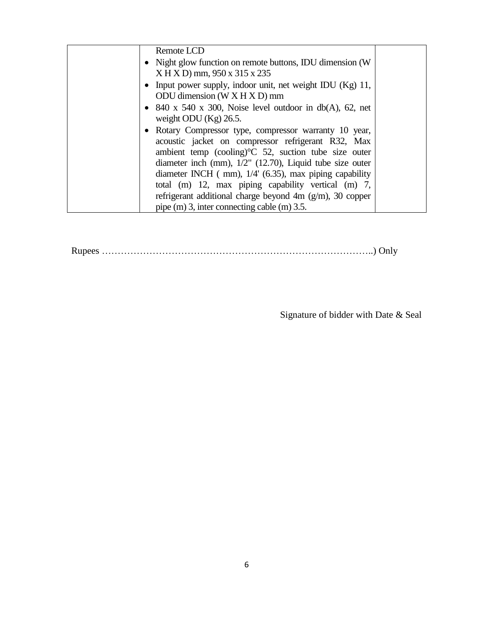| Remote LCD                                                                                                                                                                                                                                                                                                        |  |
|-------------------------------------------------------------------------------------------------------------------------------------------------------------------------------------------------------------------------------------------------------------------------------------------------------------------|--|
| • Night glow function on remote buttons, IDU dimension (W)<br>$X$ H X D) mm, 950 x 315 x 235                                                                                                                                                                                                                      |  |
| • Input power supply, indoor unit, net weight IDU $(Kg)$ 11,<br>ODU dimension $(W X H X D)$ mm                                                                                                                                                                                                                    |  |
| • 840 x 540 x 300, Noise level outdoor in $db(A)$ , 62, net<br>weight ODU $(Kg)$ 26.5.                                                                                                                                                                                                                            |  |
| • Rotary Compressor type, compressor warranty 10 year,<br>acoustic jacket on compressor refrigerant R32, Max<br>ambient temp (cooling) <sup>o</sup> C 52, suction tube size outer<br>diameter inch (mm), $1/2$ " (12.70), Liquid tube size outer<br>diameter INCH $( mm)$ , $1/4' (6.35)$ , max piping capability |  |
| total (m) 12, max piping capability vertical (m) 7,<br>refrigerant additional charge beyond 4m $(g/m)$ , 30 copper<br>pipe (m) 3, inter connecting cable (m) 3.5.                                                                                                                                                 |  |

Rupees …………………………………………………………………………..) Only

Signature of bidder with Date & Seal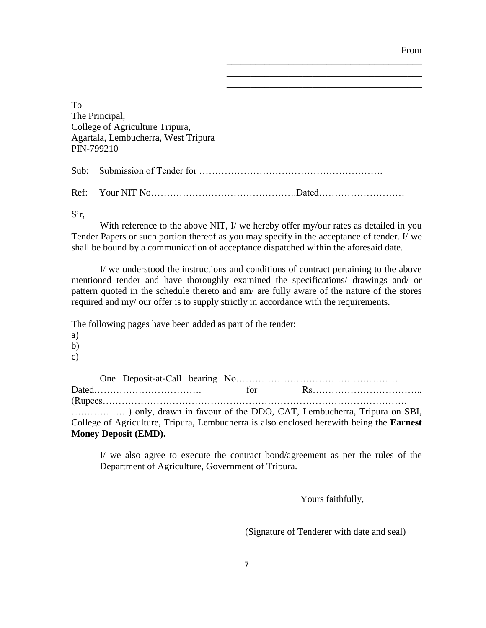From

\_\_\_\_\_\_\_\_\_\_\_\_\_\_\_\_\_\_\_\_\_\_\_\_\_\_\_\_\_\_\_\_\_\_\_\_\_\_\_\_\_ \_\_\_\_\_\_\_\_\_\_\_\_\_\_\_\_\_\_\_\_\_\_\_\_\_\_\_\_\_\_\_\_\_\_\_\_\_\_\_\_\_ \_\_\_\_\_\_\_\_\_\_\_\_\_\_\_\_\_\_\_\_\_\_\_\_\_\_\_\_\_\_\_\_\_\_\_\_\_\_\_\_\_

To The Principal, College of Agriculture Tripura, Agartala, Lembucherra, West Tripura PIN-799210

Sub: Submission of Tender for ………………………………………………….

Ref: Your NIT No……………………………………….Dated………………………

Sir,

With reference to the above NIT, I/ we hereby offer my/our rates as detailed in you Tender Papers or such portion thereof as you may specify in the acceptance of tender. I/ we shall be bound by a communication of acceptance dispatched within the aforesaid date.

I/ we understood the instructions and conditions of contract pertaining to the above mentioned tender and have thoroughly examined the specifications/ drawings and/ or pattern quoted in the schedule thereto and am/ are fully aware of the nature of the stores required and my/ our offer is to supply strictly in accordance with the requirements.

The following pages have been added as part of the tender:

a)

- b)
- c)

|  |                             |  | ) only, drawn in favour of the DDO, CAT, Lembucherra, Tripura on SBI,                           |  |
|--|-----------------------------|--|-------------------------------------------------------------------------------------------------|--|
|  |                             |  | College of Agriculture, Tripura, Lembucherra is also enclosed herewith being the <b>Earnest</b> |  |
|  | <b>Money Deposit (EMD).</b> |  |                                                                                                 |  |

I/ we also agree to execute the contract bond/agreement as per the rules of the Department of Agriculture, Government of Tripura.

Yours faithfully,

(Signature of Tenderer with date and seal)